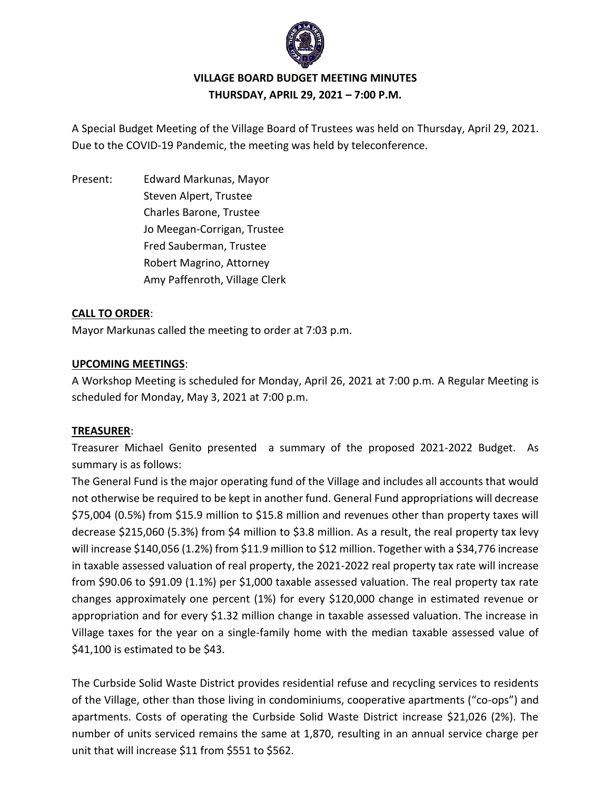

### **VILLAGE BOARD BUDGET MEETING MINUTES THURSDAY, APRIL 29, 2021 – 7:00 P.M.**

A Special Budget Meeting of the Village Board of Trustees was held on Thursday, April 29, 2021. Due to the COVID-19 Pandemic, the meeting was held by teleconference.

Present: Edward Markunas, Mayor Steven Alpert, Trustee Charles Barone, Trustee Jo Meegan-Corrigan, Trustee Fred Sauberman, Trustee Robert Magrino, Attorney Amy Paffenroth, Village Clerk

#### **CALL TO ORDER**:

Mayor Markunas called the meeting to order at 7:03 p.m.

#### **UPCOMING MEETINGS**:

A Workshop Meeting is scheduled for Monday, April 26, 2021 at 7:00 p.m. A Regular Meeting is scheduled for Monday, May 3, 2021 at 7:00 p.m.

#### **TREASURER**:

Treasurer Michael Genito presented a summary of the proposed 2021-2022 Budget. As summary is as follows:

The General Fund is the major operating fund of the Village and includes all accounts that would not otherwise be required to be kept in another fund. General Fund appropriations will decrease \$75,004 (0.5%) from \$15.9 million to \$15.8 million and revenues other than property taxes will decrease \$215,060 (5.3%) from \$4 million to \$3.8 million. As a result, the real property tax levy will increase \$140,056 (1.2%) from \$11.9 million to \$12 million. Together with a \$34,776 increase in taxable assessed valuation of real property, the 2021-2022 real property tax rate will increase from \$90.06 to \$91.09 (1.1%) per \$1,000 taxable assessed valuation. The real property tax rate changes approximately one percent (1%) for every \$120,000 change in estimated revenue or appropriation and for every \$1.32 million change in taxable assessed valuation. The increase in Village taxes for the year on a single-family home with the median taxable assessed value of \$41,100 is estimated to be \$43.

The Curbside Solid Waste District provides residential refuse and recycling services to residents of the Village, other than those living in condominiums, cooperative apartments ("co-ops") and apartments. Costs of operating the Curbside Solid Waste District increase \$21,026 (2%). The number of units serviced remains the same at 1,870, resulting in an annual service charge per unit that will increase \$11 from \$551 to \$562.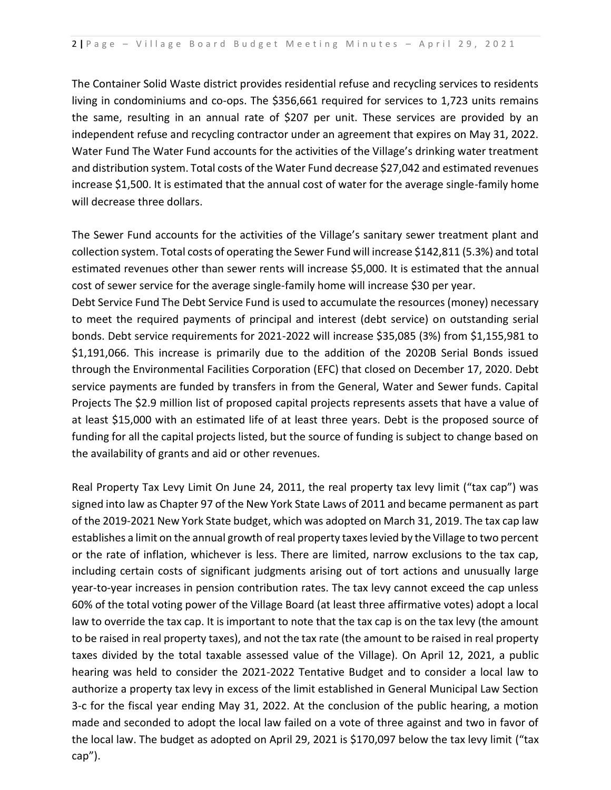The Container Solid Waste district provides residential refuse and recycling services to residents living in condominiums and co-ops. The \$356,661 required for services to 1,723 units remains the same, resulting in an annual rate of \$207 per unit. These services are provided by an independent refuse and recycling contractor under an agreement that expires on May 31, 2022. Water Fund The Water Fund accounts for the activities of the Village's drinking water treatment and distribution system. Total costs of the Water Fund decrease \$27,042 and estimated revenues increase \$1,500. It is estimated that the annual cost of water for the average single-family home will decrease three dollars.

The Sewer Fund accounts for the activities of the Village's sanitary sewer treatment plant and collection system. Total costs of operating the Sewer Fund will increase \$142,811 (5.3%) and total estimated revenues other than sewer rents will increase \$5,000. It is estimated that the annual cost of sewer service for the average single-family home will increase \$30 per year. Debt Service Fund The Debt Service Fund is used to accumulate the resources (money) necessary to meet the required payments of principal and interest (debt service) on outstanding serial bonds. Debt service requirements for 2021-2022 will increase \$35,085 (3%) from \$1,155,981 to \$1,191,066. This increase is primarily due to the addition of the 2020B Serial Bonds issued through the Environmental Facilities Corporation (EFC) that closed on December 17, 2020. Debt service payments are funded by transfers in from the General, Water and Sewer funds. Capital Projects The \$2.9 million list of proposed capital projects represents assets that have a value of at least \$15,000 with an estimated life of at least three years. Debt is the proposed source of funding for all the capital projects listed, but the source of funding is subject to change based on the availability of grants and aid or other revenues.

Real Property Tax Levy Limit On June 24, 2011, the real property tax levy limit ("tax cap") was signed into law as Chapter 97 of the New York State Laws of 2011 and became permanent as part of the 2019-2021 New York State budget, which was adopted on March 31, 2019. The tax cap law establishes a limit on the annual growth of real property taxes levied by the Village to two percent or the rate of inflation, whichever is less. There are limited, narrow exclusions to the tax cap, including certain costs of significant judgments arising out of tort actions and unusually large year-to-year increases in pension contribution rates. The tax levy cannot exceed the cap unless 60% of the total voting power of the Village Board (at least three affirmative votes) adopt a local law to override the tax cap. It is important to note that the tax cap is on the tax levy (the amount to be raised in real property taxes), and not the tax rate (the amount to be raised in real property taxes divided by the total taxable assessed value of the Village). On April 12, 2021, a public hearing was held to consider the 2021-2022 Tentative Budget and to consider a local law to authorize a property tax levy in excess of the limit established in General Municipal Law Section 3-c for the fiscal year ending May 31, 2022. At the conclusion of the public hearing, a motion made and seconded to adopt the local law failed on a vote of three against and two in favor of the local law. The budget as adopted on April 29, 2021 is \$170,097 below the tax levy limit ("tax cap").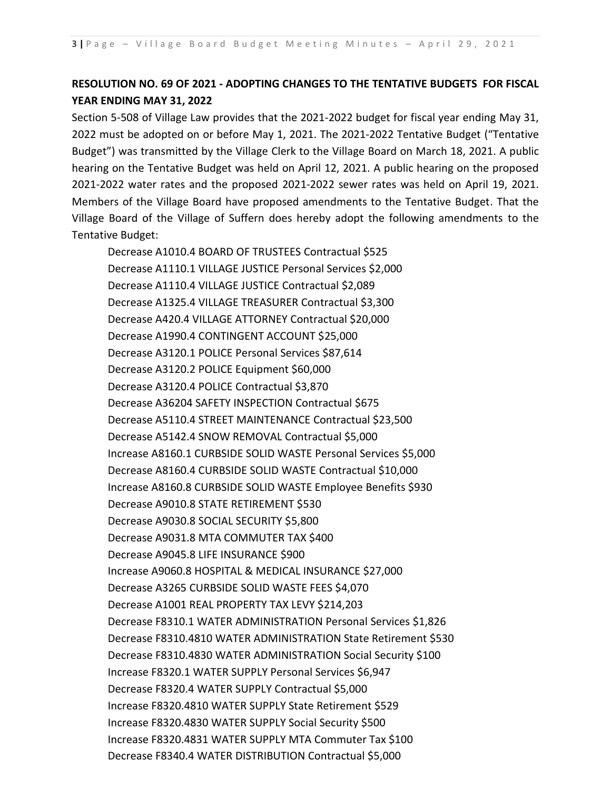## **RESOLUTION NO. 69 OF 2021 - ADOPTING CHANGES TO THE TENTATIVE BUDGETS FOR FISCAL YEAR ENDING MAY 31, 2022**

Section 5-508 of Village Law provides that the 2021-2022 budget for fiscal year ending May 31, 2022 must be adopted on or before May 1, 2021. The 2021-2022 Tentative Budget ("Tentative Budget") was transmitted by the Village Clerk to the Village Board on March 18, 2021. A public hearing on the Tentative Budget was held on April 12, 2021. A public hearing on the proposed 2021-2022 water rates and the proposed 2021-2022 sewer rates was held on April 19, 2021. Members of the Village Board have proposed amendments to the Tentative Budget. That the Village Board of the Village of Suffern does hereby adopt the following amendments to the Tentative Budget:

Decrease A1010.4 BOARD OF TRUSTEES Contractual \$525 Decrease A1110.1 VILLAGE JUSTICE Personal Services \$2,000 Decrease A1110.4 VILLAGE JUSTICE Contractual \$2,089 Decrease A1325.4 VILLAGE TREASURER Contractual \$3,300 Decrease A420.4 VILLAGE ATTORNEY Contractual \$20,000 Decrease A1990.4 CONTINGENT ACCOUNT \$25,000 Decrease A3120.1 POLICE Personal Services \$87,614 Decrease A3120.2 POLICE Equipment \$60,000 Decrease A3120.4 POLICE Contractual \$3,870 Decrease A36204 SAFETY INSPECTION Contractual \$675 Decrease A5110.4 STREET MAINTENANCE Contractual \$23,500 Decrease A5142.4 SNOW REMOVAL Contractual \$5,000 Increase A8160.1 CURBSIDE SOLID WASTE Personal Services \$5,000 Decrease A8160.4 CURBSIDE SOLID WASTE Contractual \$10,000 Increase A8160.8 CURBSIDE SOLID WASTE Employee Benefits \$930 Decrease A9010.8 STATE RETIREMENT \$530 Decrease A9030.8 SOCIAL SECURITY \$5,800 Decrease A9031.8 MTA COMMUTER TAX \$400 Decrease A9045.8 LIFE INSURANCE \$900 Increase A9060.8 HOSPITAL & MEDICAL INSURANCE \$27,000 Decrease A3265 CURBSIDE SOLID WASTE FEES \$4,070 Decrease A1001 REAL PROPERTY TAX LEVY \$214,203 Decrease F8310.1 WATER ADMINISTRATION Personal Services \$1,826 Decrease F8310.4810 WATER ADMINISTRATION State Retirement \$530 Decrease F8310.4830 WATER ADMINISTRATION Social Security \$100 Increase F8320.1 WATER SUPPLY Personal Services \$6,947 Decrease F8320.4 WATER SUPPLY Contractual \$5,000 Increase F8320.4810 WATER SUPPLY State Retirement \$529 Increase F8320.4830 WATER SUPPLY Social Security \$500 Increase F8320.4831 WATER SUPPLY MTA Commuter Tax \$100 Decrease F8340.4 WATER DISTRIBUTION Contractual \$5,000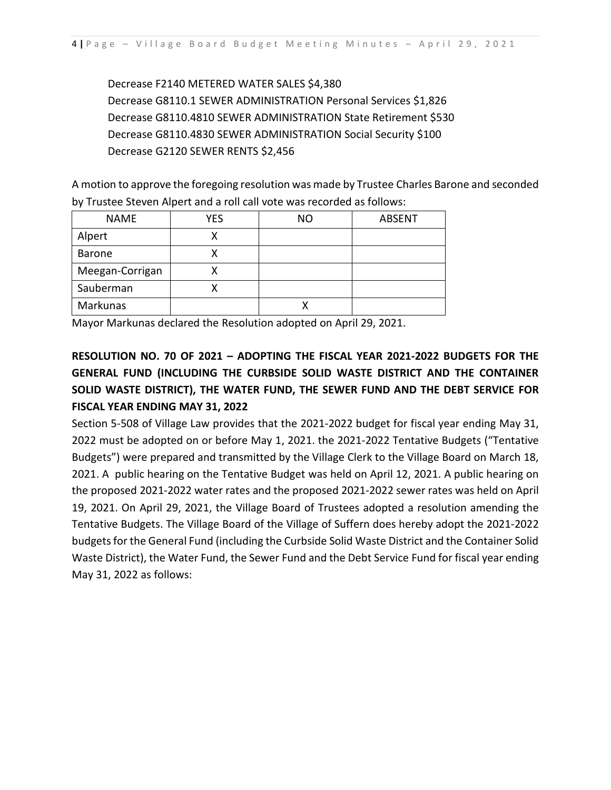Decrease F2140 METERED WATER SALES \$4,380 Decrease G8110.1 SEWER ADMINISTRATION Personal Services \$1,826 Decrease G8110.4810 SEWER ADMINISTRATION State Retirement \$530 Decrease G8110.4830 SEWER ADMINISTRATION Social Security \$100 Decrease G2120 SEWER RENTS \$2,456

A motion to approve the foregoing resolution was made by Trustee Charles Barone and seconded by Trustee Steven Alpert and a roll call vote was recorded as follows:

| <b>NAME</b>     | YES | <b>NO</b> | <b>ABSENT</b> |
|-----------------|-----|-----------|---------------|
| Alpert          |     |           |               |
| <b>Barone</b>   |     |           |               |
| Meegan-Corrigan |     |           |               |
| Sauberman       |     |           |               |
| Markunas        |     |           |               |

Mayor Markunas declared the Resolution adopted on April 29, 2021.

# **RESOLUTION NO. 70 OF 2021 – ADOPTING THE FISCAL YEAR 2021-2022 BUDGETS FOR THE GENERAL FUND (INCLUDING THE CURBSIDE SOLID WASTE DISTRICT AND THE CONTAINER SOLID WASTE DISTRICT), THE WATER FUND, THE SEWER FUND AND THE DEBT SERVICE FOR FISCAL YEAR ENDING MAY 31, 2022**

Section 5-508 of Village Law provides that the 2021-2022 budget for fiscal year ending May 31, 2022 must be adopted on or before May 1, 2021. the 2021-2022 Tentative Budgets ("Tentative Budgets") were prepared and transmitted by the Village Clerk to the Village Board on March 18, 2021. A public hearing on the Tentative Budget was held on April 12, 2021. A public hearing on the proposed 2021-2022 water rates and the proposed 2021-2022 sewer rates was held on April 19, 2021. On April 29, 2021, the Village Board of Trustees adopted a resolution amending the Tentative Budgets. The Village Board of the Village of Suffern does hereby adopt the 2021-2022 budgets for the General Fund (including the Curbside Solid Waste District and the Container Solid Waste District), the Water Fund, the Sewer Fund and the Debt Service Fund for fiscal year ending May 31, 2022 as follows: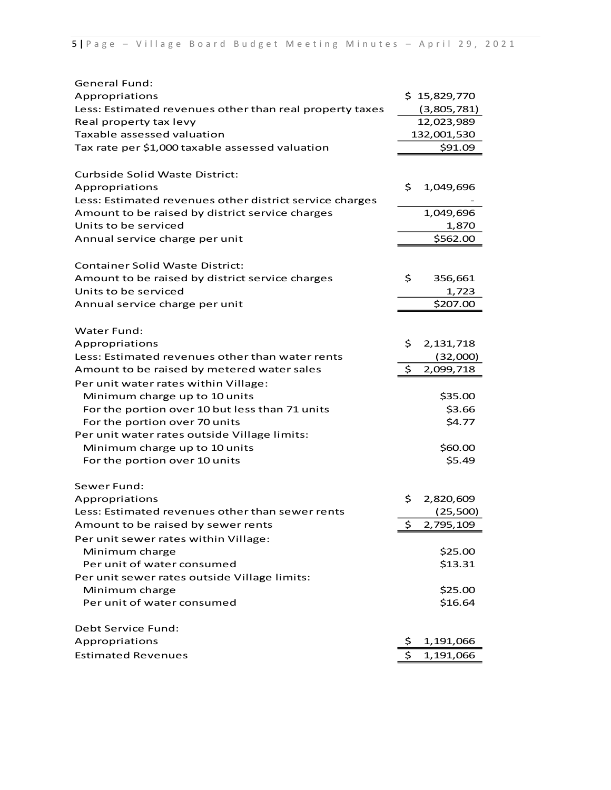| <b>General Fund:</b>                                    |     |              |
|---------------------------------------------------------|-----|--------------|
| Appropriations                                          |     | \$15,829,770 |
| Less: Estimated revenues other than real property taxes |     | (3,805,781)  |
| Real property tax levy                                  |     | 12,023,989   |
| Taxable assessed valuation                              |     | 132,001,530  |
| Tax rate per \$1,000 taxable assessed valuation         |     | \$91.09      |
|                                                         |     |              |
| <b>Curbside Solid Waste District:</b>                   |     |              |
| Appropriations                                          | \$. | 1,049,696    |
| Less: Estimated revenues other district service charges |     |              |
| Amount to be raised by district service charges         |     | 1,049,696    |
| Units to be serviced                                    |     | 1,870        |
| Annual service charge per unit                          |     | \$562.00     |
| <b>Container Solid Waste District:</b>                  |     |              |
| Amount to be raised by district service charges         | \$  | 356,661      |
| Units to be serviced                                    |     | 1,723        |
| Annual service charge per unit                          |     | \$207.00     |
|                                                         |     |              |
| Water Fund:                                             |     |              |
| Appropriations                                          | \$. | 2, 131, 718  |
| Less: Estimated revenues other than water rents         |     | (32,000)     |
| Amount to be raised by metered water sales              | \$  | 2,099,718    |
| Per unit water rates within Village:                    |     |              |
| Minimum charge up to 10 units                           |     | \$35.00      |
| For the portion over 10 but less than 71 units          |     | \$3.66       |
| For the portion over 70 units                           |     | \$4.77       |
| Per unit water rates outside Village limits:            |     |              |
| Minimum charge up to 10 units                           |     | \$60.00      |
| For the portion over 10 units                           |     | \$5.49       |
| Sewer Fund:                                             |     |              |
| Appropriations                                          | \$. | 2,820,609    |
| Less: Estimated revenues other than sewer rents         |     | (25,500)     |
| Amount to be raised by sewer rents                      | \$  | 2,795,109    |
| Per unit sewer rates within Village:                    |     |              |
| Minimum charge                                          |     | \$25.00      |
| Per unit of water consumed                              |     | \$13.31      |
| Per unit sewer rates outside Village limits:            |     |              |
| Minimum charge                                          |     | \$25.00      |
| Per unit of water consumed                              |     | \$16.64      |
|                                                         |     |              |
| Debt Service Fund:                                      |     |              |
| Appropriations                                          | Ş   | 1,191,066    |
| <b>Estimated Revenues</b>                               | \$  | 1,191,066    |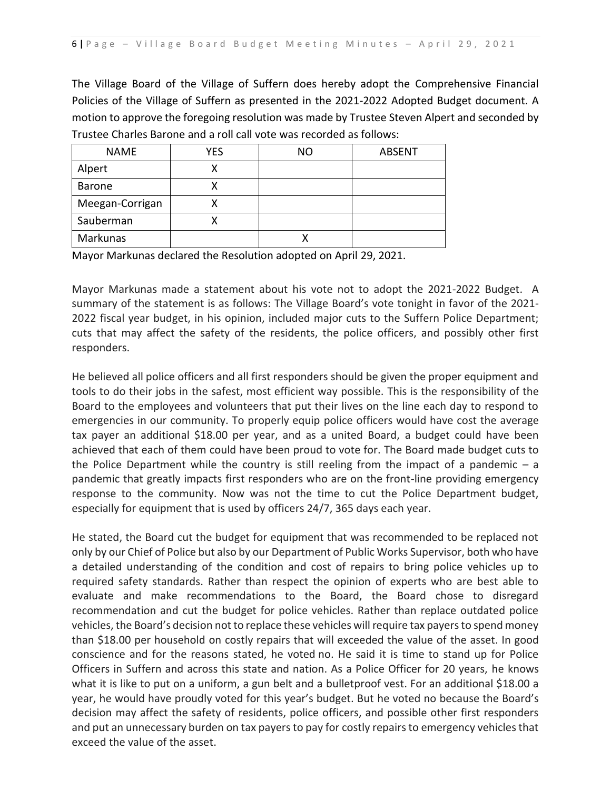The Village Board of the Village of Suffern does hereby adopt the Comprehensive Financial Policies of the Village of Suffern as presented in the 2021-2022 Adopted Budget document. A motion to approve the foregoing resolution was made by Trustee Steven Alpert and seconded by Trustee Charles Barone and a roll call vote was recorded as follows:

| <b>NAME</b>     | YES | <b>NO</b> | <b>ABSENT</b> |
|-----------------|-----|-----------|---------------|
| Alpert          | х   |           |               |
| <b>Barone</b>   |     |           |               |
| Meegan-Corrigan |     |           |               |
| Sauberman       |     |           |               |
| Markunas        |     |           |               |

Mayor Markunas declared the Resolution adopted on April 29, 2021.

Mayor Markunas made a statement about his vote not to adopt the 2021-2022 Budget. A summary of the statement is as follows: The Village Board's vote tonight in favor of the 2021- 2022 fiscal year budget, in his opinion, included major cuts to the Suffern Police Department; cuts that may affect the safety of the residents, the police officers, and possibly other first responders.

He believed all police officers and all first responders should be given the proper equipment and tools to do their jobs in the safest, most efficient way possible. This is the responsibility of the Board to the employees and volunteers that put their lives on the line each day to respond to emergencies in our community. To properly equip police officers would have cost the average tax payer an additional \$18.00 per year, and as a united Board, a budget could have been achieved that each of them could have been proud to vote for. The Board made budget cuts to the Police Department while the country is still reeling from the impact of a pandemic  $- a$ pandemic that greatly impacts first responders who are on the front-line providing emergency response to the community. Now was not the time to cut the Police Department budget, especially for equipment that is used by officers 24/7, 365 days each year.

He stated, the Board cut the budget for equipment that was recommended to be replaced not only by our Chief of Police but also by our Department of Public Works Supervisor, both who have a detailed understanding of the condition and cost of repairs to bring police vehicles up to required safety standards. Rather than respect the opinion of experts who are best able to evaluate and make recommendations to the Board, the Board chose to disregard recommendation and cut the budget for police vehicles. Rather than replace outdated police vehicles, the Board's decision not to replace these vehicles will require tax payers to spend money than \$18.00 per household on costly repairs that will exceeded the value of the asset. In good conscience and for the reasons stated, he voted no. He said it is time to stand up for Police Officers in Suffern and across this state and nation. As a Police Officer for 20 years, he knows what it is like to put on a uniform, a gun belt and a bulletproof vest. For an additional \$18.00 a year, he would have proudly voted for this year's budget. But he voted no because the Board's decision may affect the safety of residents, police officers, and possible other first responders and put an unnecessary burden on tax payers to pay for costly repairs to emergency vehicles that exceed the value of the asset.